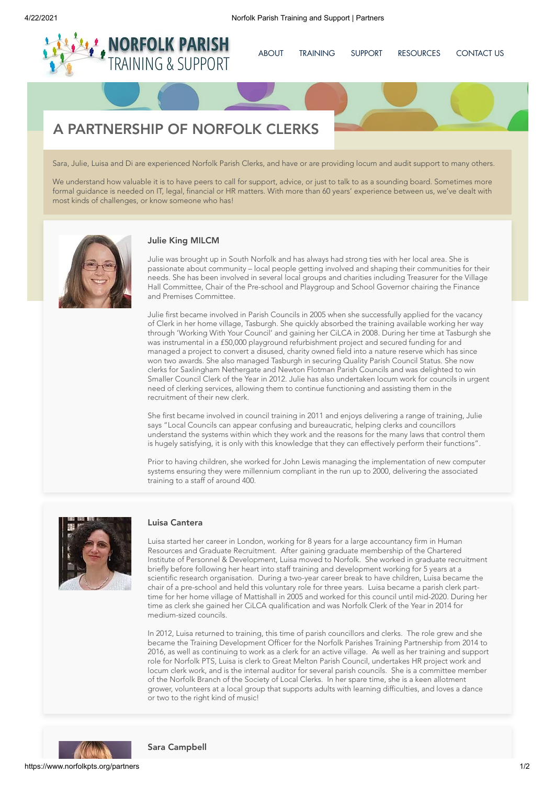

## A PARTNERSHIP OF NORFOLK CLERKS

Sara, Julie, Luisa and Di are experienced Norfolk Parish Clerks, and have or are providing locum and audit support to many others.

We understand how valuable it is to have peers to call for support, advice, or just to talk to as a sounding board. Sometimes more formal guidance is needed on IT, legal, financial or HR matters. With more than 60 years' experience between us, we've dealt with most kinds of challenges, or know someone who has!



## Julie King MILCM

Julie was brought up in South Norfolk and has always had strong ties with her local area. She is passionate about community – local people getting involved and shaping their communities for their needs. She has been involved in several local groups and charities including Treasurer for the Village Hall Committee, Chair of the Pre-school and Playgroup and School Governor chairing the Finance and Premises Committee.

Julie first became involved in Parish Councils in 2005 when she successfully applied for the vacancy of Clerk in her home village, Tasburgh. She quickly absorbed the training available working her way through 'Working With Your Council' and gaining her CiLCA in 2008. During her time at Tasburgh she was instrumental in a £50,000 playground refurbishment project and secured funding for and managed a project to convert a disused, charity owned field into a nature reserve which has since won two awards. She also managed Tasburgh in securing Quality Parish Council Status. She now clerks for Saxlingham Nethergate and Newton Flotman Parish Councils and was delighted to win Smaller Council Clerk of the Year in 2012. Julie has also undertaken locum work for councils in urgent need of clerking services, allowing them to continue functioning and assisting them in the recruitment of their new clerk.

She first became involved in council training in 2011 and enjoys delivering a range of training, Julie says "Local Councils can appear confusing and bureaucratic, helping clerks and councillors understand the systems within which they work and the reasons for the many laws that control them is hugely satisfying, it is only with this knowledge that they can effectively perform their functions".

Prior to having children, she worked for John Lewis managing the implementation of new computer systems ensuring they were millennium compliant in the run up to 2000, delivering the associated training to a staff of around 400.



## Luisa Cantera

Luisa started her career in London, working for 8 years for a large accountancy firm in Human Resources and Graduate Recruitment. After gaining graduate membership of the Chartered Institute of Personnel & Development, Luisa moved to Norfolk. She worked in graduate recruitment briefly before following her heart into staff training and development working for 5 years at a scientific research organisation. During a two-year career break to have children, Luisa became the chair of a pre-school and held this voluntary role for three years. Luisa became a parish clerk parttime for her home village of Mattishall in 2005 and worked for this council until mid-2020. During her time as clerk she gained her CiLCA qualification and was Norfolk Clerk of the Year in 2014 for medium-sized councils.

In 2012, Luisa returned to training, this time of parish councillors and clerks. The role grew and she became the Training Development Officer for the Norfolk Parishes Training Partnership from 2014 to 2016, as well as continuing to work as a clerk for an active village. As well as her training and support role for Norfolk PTS, Luisa is clerk to Great Melton Parish Council, undertakes HR project work and locum clerk work, and is the internal auditor for several parish councils. She is a committee member of the Norfolk Branch of the Society of Local Clerks. In her spare time, she is a keen allotment grower, volunteers at a local group that supports adults with learning difficulties, and loves a dance or two to the right kind of music!



Sara Campbell